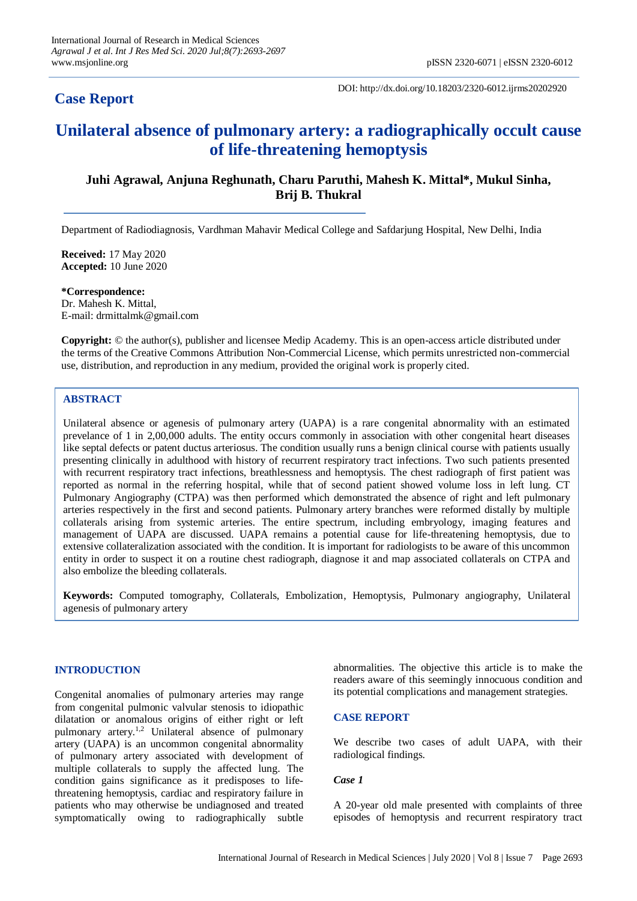# **Case Report**

DOI: http://dx.doi.org/10.18203/2320-6012.ijrms20202920

# **Unilateral absence of pulmonary artery: a radiographically occult cause of life-threatening hemoptysis**

# **Juhi Agrawal, Anjuna Reghunath, Charu Paruthi, Mahesh K. Mittal\*, Mukul Sinha, Brij B. Thukral**

Department of Radiodiagnosis, Vardhman Mahavir Medical College and Safdarjung Hospital, New Delhi, India

**Received:** 17 May 2020 **Accepted:** 10 June 2020

**\*Correspondence:** Dr. Mahesh K. Mittal, E-mail: drmittalmk@gmail.com

**Copyright:** © the author(s), publisher and licensee Medip Academy. This is an open-access article distributed under the terms of the Creative Commons Attribution Non-Commercial License, which permits unrestricted non-commercial use, distribution, and reproduction in any medium, provided the original work is properly cited.

# **ABSTRACT**

Unilateral absence or agenesis of pulmonary artery (UAPA) is a rare congenital abnormality with an estimated prevelance of 1 in 2,00,000 adults. The entity occurs commonly in association with other congenital heart diseases like septal defects or patent ductus arteriosus. The condition usually runs a benign clinical course with patients usually presenting clinically in adulthood with history of recurrent respiratory tract infections. Two such patients presented with recurrent respiratory tract infections, breathlessness and hemoptysis. The chest radiograph of first patient was reported as normal in the referring hospital, while that of second patient showed volume loss in left lung. CT Pulmonary Angiography (CTPA) was then performed which demonstrated the absence of right and left pulmonary arteries respectively in the first and second patients. Pulmonary artery branches were reformed distally by multiple collaterals arising from systemic arteries. The entire spectrum, including embryology, imaging features and management of UAPA are discussed. UAPA remains a potential cause for life-threatening hemoptysis, due to extensive collateralization associated with the condition. It is important for radiologists to be aware of this uncommon entity in order to suspect it on a routine chest radiograph, diagnose it and map associated collaterals on CTPA and also embolize the bleeding collaterals.

**Keywords:** Computed tomography, Collaterals, Embolization, Hemoptysis, Pulmonary angiography, Unilateral agenesis of pulmonary artery

#### **INTRODUCTION**

Congenital anomalies of pulmonary arteries may range from congenital pulmonic valvular stenosis to idiopathic dilatation or anomalous origins of either right or left pulmonary artery.<sup>1,2</sup> Unilateral absence of pulmonary artery (UAPA) is an uncommon congenital abnormality of pulmonary artery associated with development of multiple collaterals to supply the affected lung. The condition gains significance as it predisposes to lifethreatening hemoptysis, cardiac and respiratory failure in patients who may otherwise be undiagnosed and treated symptomatically owing to radiographically subtle abnormalities. The objective this article is to make the readers aware of this seemingly innocuous condition and its potential complications and management strategies.

#### **CASE REPORT**

We describe two cases of adult UAPA, with their radiological findings.

#### *Case 1*

A 20-year old male presented with complaints of three episodes of hemoptysis and recurrent respiratory tract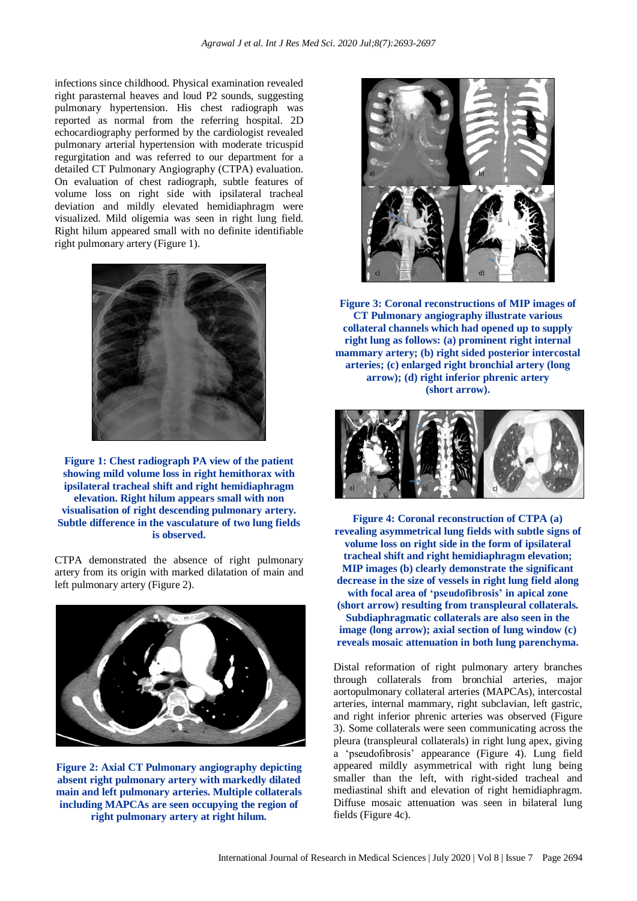infections since childhood. Physical examination revealed right parasternal heaves and loud P2 sounds, suggesting pulmonary hypertension. His chest radiograph was reported as normal from the referring hospital. 2D echocardiography performed by the cardiologist revealed pulmonary arterial hypertension with moderate tricuspid regurgitation and was referred to our department for a detailed CT Pulmonary Angiography (CTPA) evaluation. On evaluation of chest radiograph, subtle features of volume loss on right side with ipsilateral tracheal deviation and mildly elevated hemidiaphragm were visualized. Mild oligemia was seen in right lung field. Right hilum appeared small with no definite identifiable right pulmonary artery (Figure 1).



**Figure 1: Chest radiograph PA view of the patient showing mild volume loss in right hemithorax with ipsilateral tracheal shift and right hemidiaphragm elevation. Right hilum appears small with non visualisation of right descending pulmonary artery. Subtle difference in the vasculature of two lung fields is observed.**

CTPA demonstrated the absence of right pulmonary artery from its origin with marked dilatation of main and left pulmonary artery (Figure 2).



**Figure 2: Axial CT Pulmonary angiography depicting absent right pulmonary artery with markedly dilated main and left pulmonary arteries. Multiple collaterals including MAPCAs are seen occupying the region of right pulmonary artery at right hilum.**



**Figure 3: Coronal reconstructions of MIP images of CT Pulmonary angiography illustrate various collateral channels which had opened up to supply right lung as follows: (a) prominent right internal mammary artery; (b) right sided posterior intercostal arteries; (c) enlarged right bronchial artery (long arrow); (d) right inferior phrenic artery (short arrow).**



**Figure 4: Coronal reconstruction of CTPA (a) revealing asymmetrical lung fields with subtle signs of volume loss on right side in the form of ipsilateral tracheal shift and right hemidiaphragm elevation; MIP images (b) clearly demonstrate the significant decrease in the size of vessels in right lung field along with focal area of 'pseudofibrosis' in apical zone (short arrow) resulting from transpleural collaterals. Subdiaphragmatic collaterals are also seen in the image (long arrow); axial section of lung window (c) reveals mosaic attenuation in both lung parenchyma.**

Distal reformation of right pulmonary artery branches through collaterals from bronchial arteries, major aortopulmonary collateral arteries (MAPCAs), intercostal arteries, internal mammary, right subclavian, left gastric, and right inferior phrenic arteries was observed (Figure 3). Some collaterals were seen communicating across the pleura (transpleural collaterals) in right lung apex, giving a 'pseudofibrosis' appearance (Figure 4). Lung field appeared mildly asymmetrical with right lung being smaller than the left, with right-sided tracheal and mediastinal shift and elevation of right hemidiaphragm. Diffuse mosaic attenuation was seen in bilateral lung fields (Figure 4c).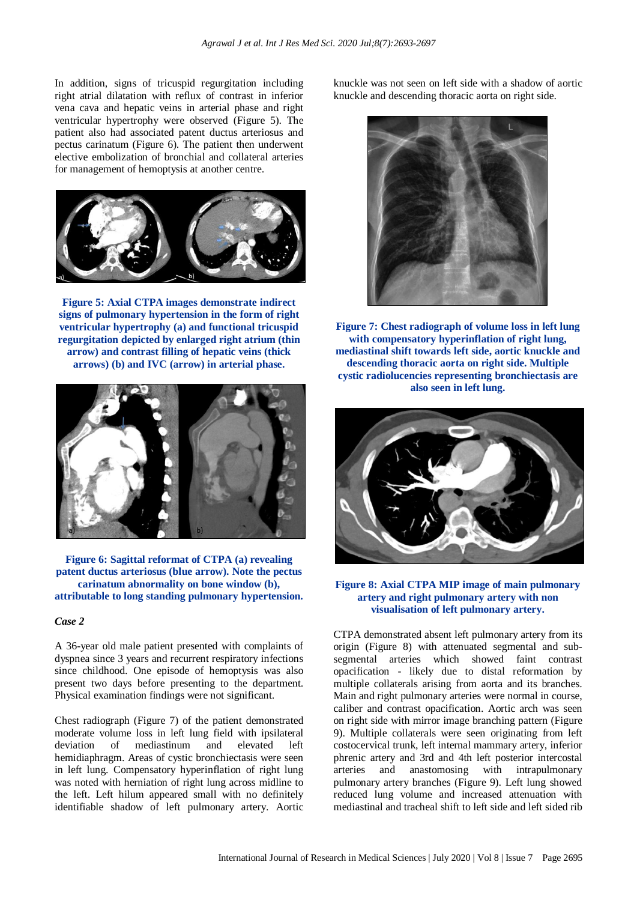In addition, signs of tricuspid regurgitation including right atrial dilatation with reflux of contrast in inferior vena cava and hepatic veins in arterial phase and right ventricular hypertrophy were observed (Figure 5). The patient also had associated patent ductus arteriosus and pectus carinatum (Figure 6). The patient then underwent elective embolization of bronchial and collateral arteries for management of hemoptysis at another centre.



**Figure 5: Axial CTPA images demonstrate indirect signs of pulmonary hypertension in the form of right ventricular hypertrophy (a) and functional tricuspid regurgitation depicted by enlarged right atrium (thin arrow) and contrast filling of hepatic veins (thick arrows) (b) and IVC (arrow) in arterial phase.**



**Figure 6: Sagittal reformat of CTPA (a) revealing patent ductus arteriosus (blue arrow). Note the pectus carinatum abnormality on bone window (b), attributable to long standing pulmonary hypertension.**

#### *Case 2*

A 36-year old male patient presented with complaints of dyspnea since 3 years and recurrent respiratory infections since childhood. One episode of hemoptysis was also present two days before presenting to the department. Physical examination findings were not significant.

Chest radiograph (Figure 7) of the patient demonstrated moderate volume loss in left lung field with ipsilateral deviation of mediastinum and elevated left hemidiaphragm. Areas of cystic bronchiectasis were seen in left lung. Compensatory hyperinflation of right lung was noted with herniation of right lung across midline to the left. Left hilum appeared small with no definitely identifiable shadow of left pulmonary artery. Aortic knuckle was not seen on left side with a shadow of aortic knuckle and descending thoracic aorta on right side.



**Figure 7: Chest radiograph of volume loss in left lung with compensatory hyperinflation of right lung, mediastinal shift towards left side, aortic knuckle and descending thoracic aorta on right side. Multiple cystic radiolucencies representing bronchiectasis are also seen in left lung.**



#### **Figure 8: Axial CTPA MIP image of main pulmonary artery and right pulmonary artery with non visualisation of left pulmonary artery.**

CTPA demonstrated absent left pulmonary artery from its origin (Figure 8) with attenuated segmental and subsegmental arteries which showed faint contrast opacification - likely due to distal reformation by multiple collaterals arising from aorta and its branches. Main and right pulmonary arteries were normal in course, caliber and contrast opacification. Aortic arch was seen on right side with mirror image branching pattern (Figure 9). Multiple collaterals were seen originating from left costocervical trunk, left internal mammary artery, inferior phrenic artery and 3rd and 4th left posterior intercostal arteries and anastomosing with intrapulmonary pulmonary artery branches (Figure 9). Left lung showed reduced lung volume and increased attenuation with mediastinal and tracheal shift to left side and left sided rib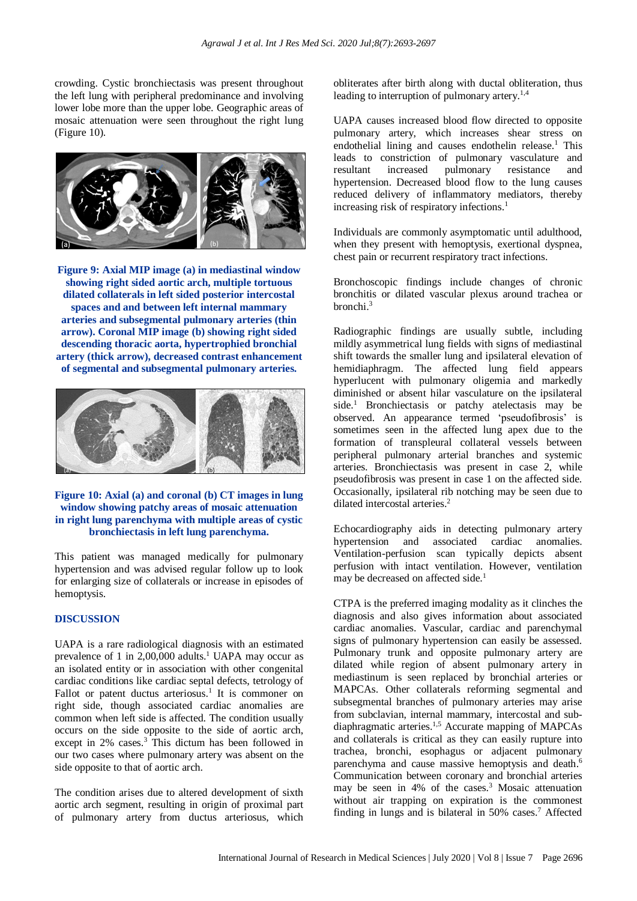crowding. Cystic bronchiectasis was present throughout the left lung with peripheral predominance and involving lower lobe more than the upper lobe. Geographic areas of mosaic attenuation were seen throughout the right lung (Figure 10).



**Figure 9: Axial MIP image (a) in mediastinal window showing right sided aortic arch, multiple tortuous dilated collaterals in left sided posterior intercostal spaces and and between left internal mammary arteries and subsegmental pulmonary arteries (thin arrow). Coronal MIP image (b) showing right sided descending thoracic aorta, hypertrophied bronchial artery (thick arrow), decreased contrast enhancement of segmental and subsegmental pulmonary arteries.**



## **Figure 10: Axial (a) and coronal (b) CT images in lung window showing patchy areas of mosaic attenuation in right lung parenchyma with multiple areas of cystic bronchiectasis in left lung parenchyma.**

This patient was managed medically for pulmonary hypertension and was advised regular follow up to look for enlarging size of collaterals or increase in episodes of hemoptysis.

## **DISCUSSION**

UAPA is a rare radiological diagnosis with an estimated prevalence of 1 in 2,00,000 adults.<sup>1</sup> UAPA may occur as an isolated entity or in association with other congenital cardiac conditions like cardiac septal defects, tetrology of Fallot or patent ductus arteriosus.<sup>1</sup> It is commoner on right side, though associated cardiac anomalies are common when left side is affected. The condition usually occurs on the side opposite to the side of aortic arch, except in 2% cases. <sup>3</sup> This dictum has been followed in our two cases where pulmonary artery was absent on the side opposite to that of aortic arch.

The condition arises due to altered development of sixth aortic arch segment, resulting in origin of proximal part of pulmonary artery from ductus arteriosus, which obliterates after birth along with ductal obliteration, thus leading to interruption of pulmonary artery.<sup>1,4</sup>

UAPA causes increased blood flow directed to opposite pulmonary artery, which increases shear stress on endothelial lining and causes endothelin release.<sup>1</sup> This leads to constriction of pulmonary vasculature and resultant increased pulmonary resistance and hypertension. Decreased blood flow to the lung causes reduced delivery of inflammatory mediators, thereby increasing risk of respiratory infections. 1

Individuals are commonly asymptomatic until adulthood, when they present with hemoptysis, exertional dyspnea, chest pain or recurrent respiratory tract infections.

Bronchoscopic findings include changes of chronic bronchitis or dilated vascular plexus around trachea or bronchi. 3

Radiographic findings are usually subtle, including mildly asymmetrical lung fields with signs of mediastinal shift towards the smaller lung and ipsilateral elevation of hemidiaphragm. The affected lung field appears hyperlucent with pulmonary oligemia and markedly diminished or absent hilar vasculature on the ipsilateral side. <sup>1</sup> Bronchiectasis or patchy atelectasis may be observed. An appearance termed 'pseudofibrosis' is sometimes seen in the affected lung apex due to the formation of transpleural collateral vessels between peripheral pulmonary arterial branches and systemic arteries. Bronchiectasis was present in case 2, while pseudofibrosis was present in case 1 on the affected side. Occasionally, ipsilateral rib notching may be seen due to dilated intercostal arteries. 2

Echocardiography aids in detecting pulmonary artery hypertension and associated cardiac anomalies. Ventilation-perfusion scan typically depicts absent perfusion with intact ventilation. However, ventilation may be decreased on affected side. 1

CTPA is the preferred imaging modality as it clinches the diagnosis and also gives information about associated cardiac anomalies. Vascular, cardiac and parenchymal signs of pulmonary hypertension can easily be assessed. Pulmonary trunk and opposite pulmonary artery are dilated while region of absent pulmonary artery in mediastinum is seen replaced by bronchial arteries or MAPCAs. Other collaterals reforming segmental and subsegmental branches of pulmonary arteries may arise from subclavian, internal mammary, intercostal and subdiaphragmatic arteries. 1,5 Accurate mapping of MAPCAs and collaterals is critical as they can easily rupture into trachea, bronchi, esophagus or adjacent pulmonary parenchyma and cause massive hemoptysis and death.<sup>6</sup> Communication between coronary and bronchial arteries may be seen in 4% of the cases. <sup>3</sup> Mosaic attenuation without air trapping on expiration is the commonest finding in lungs and is bilateral in 50% cases. <sup>7</sup> Affected